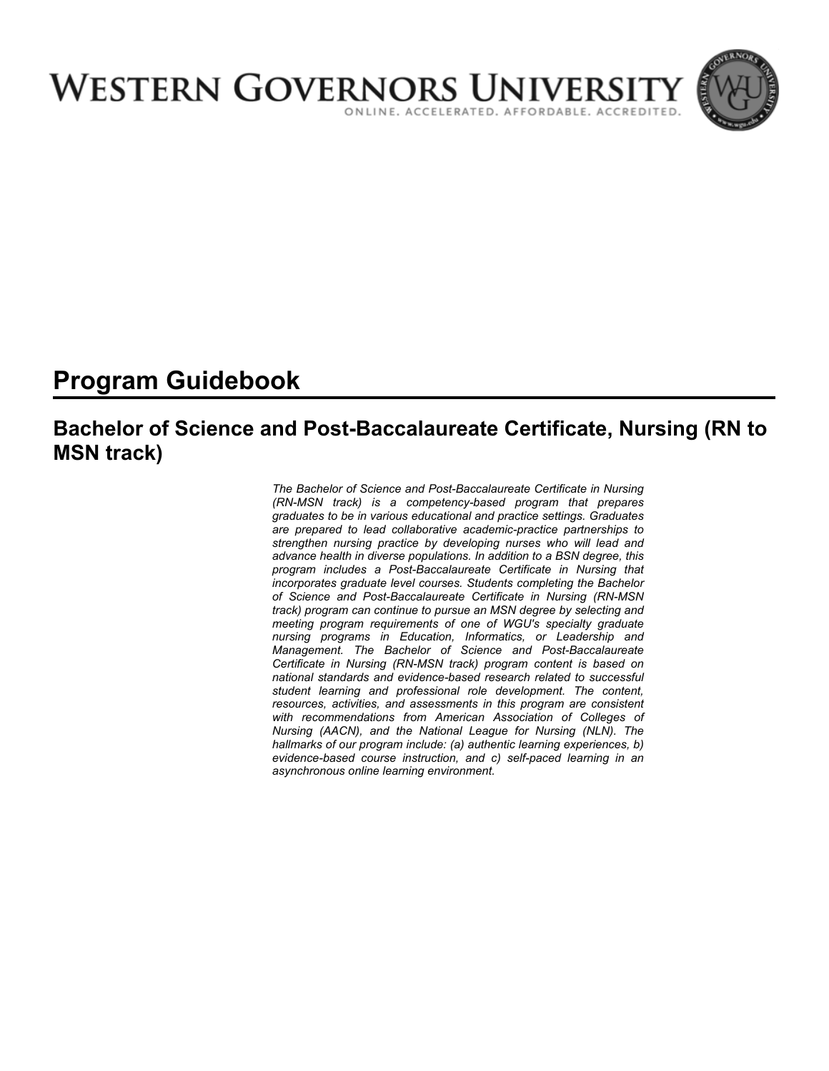

# **Program Guidebook**

# **Bachelor of Science and Post-Baccalaureate Certificate, Nursing (RN to MSN track)**

*The Bachelor of Science and Post-Baccalaureate Certificate in Nursing (RN-MSN track) is a competency-based program that prepares graduates to be in various educational and practice settings. Graduates are prepared to lead collaborative academic-practice partnerships to strengthen nursing practice by developing nurses who will lead and advance health in diverse populations. In addition to a BSN degree, this program includes a Post-Baccalaureate Certificate in Nursing that incorporates graduate level courses. Students completing the Bachelor of Science and Post-Baccalaureate Certificate in Nursing (RN-MSN track) program can continue to pursue an MSN degree by selecting and meeting program requirements of one of WGU's specialty graduate nursing programs in Education, Informatics, or Leadership and Management. The Bachelor of Science and Post-Baccalaureate Certificate in Nursing (RN-MSN track) program content is based on national standards and evidence-based research related to successful student learning and professional role development. The content, resources, activities, and assessments in this program are consistent with recommendations from American Association of Colleges of Nursing (AACN), and the National League for Nursing (NLN). The hallmarks of our program include: (a) authentic learning experiences, b) evidence-based course instruction, and c) self-paced learning in an asynchronous online learning environment.*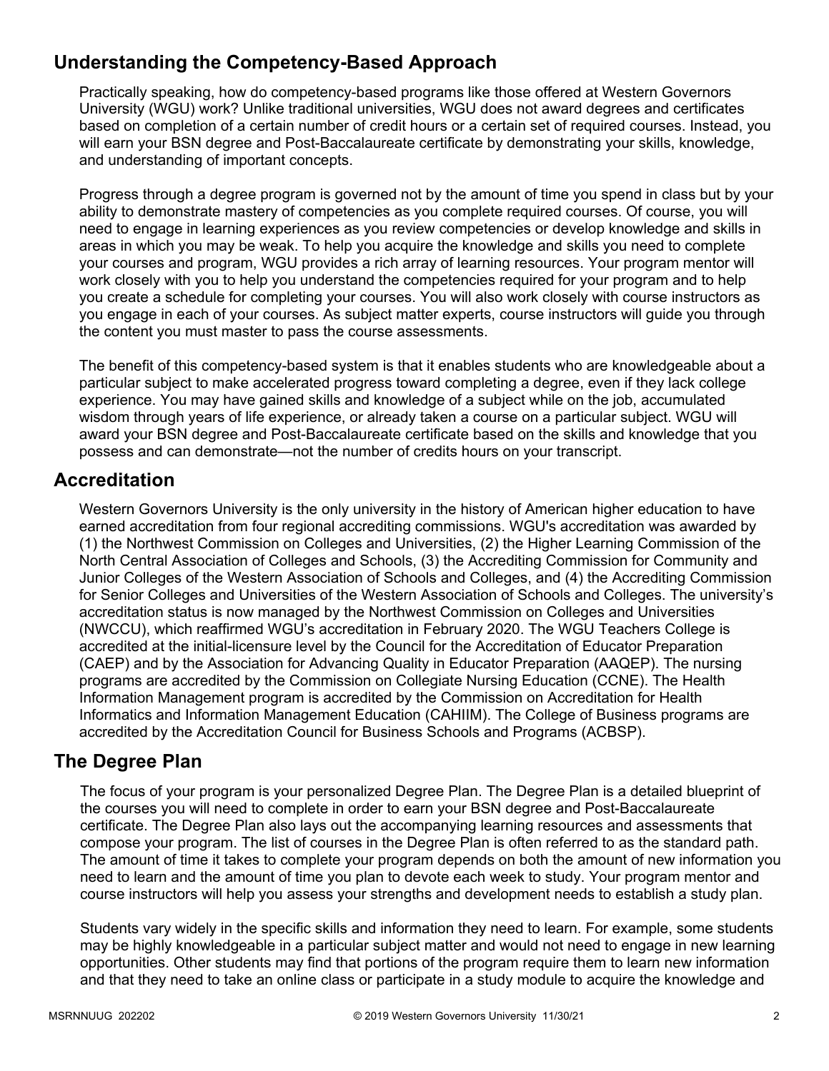# **Understanding the Competency-Based Approach**

Practically speaking, how do competency-based programs like those offered at Western Governors University (WGU) work? Unlike traditional universities, WGU does not award degrees and certificates based on completion of a certain number of credit hours or a certain set of required courses. Instead, you will earn your BSN degree and Post-Baccalaureate certificate by demonstrating your skills, knowledge, and understanding of important concepts.

Progress through a degree program is governed not by the amount of time you spend in class but by your ability to demonstrate mastery of competencies as you complete required courses. Of course, you will need to engage in learning experiences as you review competencies or develop knowledge and skills in areas in which you may be weak. To help you acquire the knowledge and skills you need to complete your courses and program, WGU provides a rich array of learning resources. Your program mentor will work closely with you to help you understand the competencies required for your program and to help you create a schedule for completing your courses. You will also work closely with course instructors as you engage in each of your courses. As subject matter experts, course instructors will guide you through the content you must master to pass the course assessments.

The benefit of this competency-based system is that it enables students who are knowledgeable about a particular subject to make accelerated progress toward completing a degree, even if they lack college experience. You may have gained skills and knowledge of a subject while on the job, accumulated wisdom through years of life experience, or already taken a course on a particular subject. WGU will award your BSN degree and Post-Baccalaureate certificate based on the skills and knowledge that you possess and can demonstrate—not the number of credits hours on your transcript.

# **Accreditation**

Western Governors University is the only university in the history of American higher education to have earned accreditation from four regional accrediting commissions. WGU's accreditation was awarded by (1) the Northwest Commission on Colleges and Universities, (2) the Higher Learning Commission of the North Central Association of Colleges and Schools, (3) the Accrediting Commission for Community and Junior Colleges of the Western Association of Schools and Colleges, and (4) the Accrediting Commission for Senior Colleges and Universities of the Western Association of Schools and Colleges. The university's accreditation status is now managed by the Northwest Commission on Colleges and Universities (NWCCU), which reaffirmed WGU's accreditation in February 2020. The WGU Teachers College is accredited at the initial-licensure level by the Council for the Accreditation of Educator Preparation (CAEP) and by the Association for Advancing Quality in Educator Preparation (AAQEP). The nursing programs are accredited by the Commission on Collegiate Nursing Education (CCNE). The Health Information Management program is accredited by the Commission on Accreditation for Health Informatics and Information Management Education (CAHIIM). The College of Business programs are accredited by the Accreditation Council for Business Schools and Programs (ACBSP).

# **The Degree Plan**

The focus of your program is your personalized Degree Plan. The Degree Plan is a detailed blueprint of the courses you will need to complete in order to earn your BSN degree and Post-Baccalaureate certificate. The Degree Plan also lays out the accompanying learning resources and assessments that compose your program. The list of courses in the Degree Plan is often referred to as the standard path. The amount of time it takes to complete your program depends on both the amount of new information you need to learn and the amount of time you plan to devote each week to study. Your program mentor and course instructors will help you assess your strengths and development needs to establish a study plan.

Students vary widely in the specific skills and information they need to learn. For example, some students may be highly knowledgeable in a particular subject matter and would not need to engage in new learning opportunities. Other students may find that portions of the program require them to learn new information and that they need to take an online class or participate in a study module to acquire the knowledge and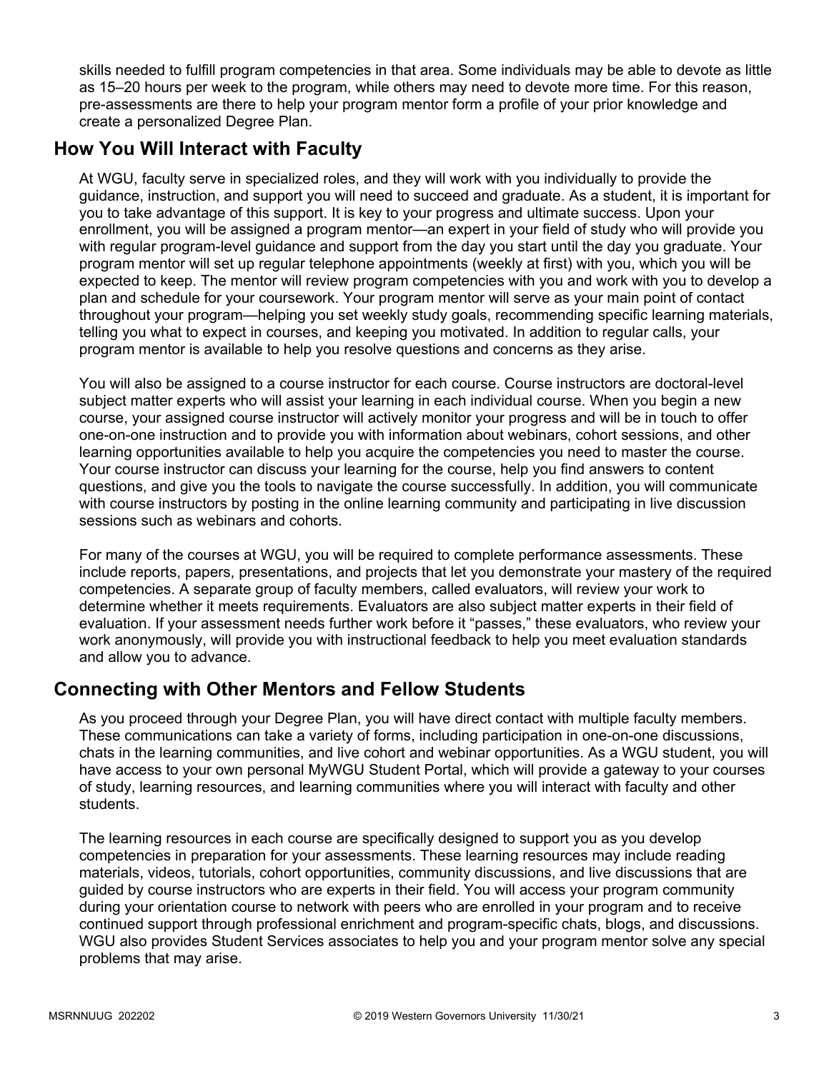skills needed to fulfill program competencies in that area. Some individuals may be able to devote as little as 15–20 hours per week to the program, while others may need to devote more time. For this reason, pre-assessments are there to help your program mentor form a profile of your prior knowledge and create a personalized Degree Plan.

# **How You Will Interact with Faculty**

At WGU, faculty serve in specialized roles, and they will work with you individually to provide the guidance, instruction, and support you will need to succeed and graduate. As a student, it is important for you to take advantage of this support. It is key to your progress and ultimate success. Upon your enrollment, you will be assigned a program mentor—an expert in your field of study who will provide you with regular program-level guidance and support from the day you start until the day you graduate. Your program mentor will set up regular telephone appointments (weekly at first) with you, which you will be expected to keep. The mentor will review program competencies with you and work with you to develop a plan and schedule for your coursework. Your program mentor will serve as your main point of contact throughout your program—helping you set weekly study goals, recommending specific learning materials, telling you what to expect in courses, and keeping you motivated. In addition to regular calls, your program mentor is available to help you resolve questions and concerns as they arise.

You will also be assigned to a course instructor for each course. Course instructors are doctoral-level subject matter experts who will assist your learning in each individual course. When you begin a new course, your assigned course instructor will actively monitor your progress and will be in touch to offer one-on-one instruction and to provide you with information about webinars, cohort sessions, and other learning opportunities available to help you acquire the competencies you need to master the course. Your course instructor can discuss your learning for the course, help you find answers to content questions, and give you the tools to navigate the course successfully. In addition, you will communicate with course instructors by posting in the online learning community and participating in live discussion sessions such as webinars and cohorts.

For many of the courses at WGU, you will be required to complete performance assessments. These include reports, papers, presentations, and projects that let you demonstrate your mastery of the required competencies. A separate group of faculty members, called evaluators, will review your work to determine whether it meets requirements. Evaluators are also subject matter experts in their field of evaluation. If your assessment needs further work before it "passes," these evaluators, who review your work anonymously, will provide you with instructional feedback to help you meet evaluation standards and allow you to advance.

# **Connecting with Other Mentors and Fellow Students**

As you proceed through your Degree Plan, you will have direct contact with multiple faculty members. These communications can take a variety of forms, including participation in one-on-one discussions, chats in the learning communities, and live cohort and webinar opportunities. As a WGU student, you will have access to your own personal MyWGU Student Portal, which will provide a gateway to your courses of study, learning resources, and learning communities where you will interact with faculty and other students.

The learning resources in each course are specifically designed to support you as you develop competencies in preparation for your assessments. These learning resources may include reading materials, videos, tutorials, cohort opportunities, community discussions, and live discussions that are guided by course instructors who are experts in their field. You will access your program community during your orientation course to network with peers who are enrolled in your program and to receive continued support through professional enrichment and program-specific chats, blogs, and discussions. WGU also provides Student Services associates to help you and your program mentor solve any special problems that may arise.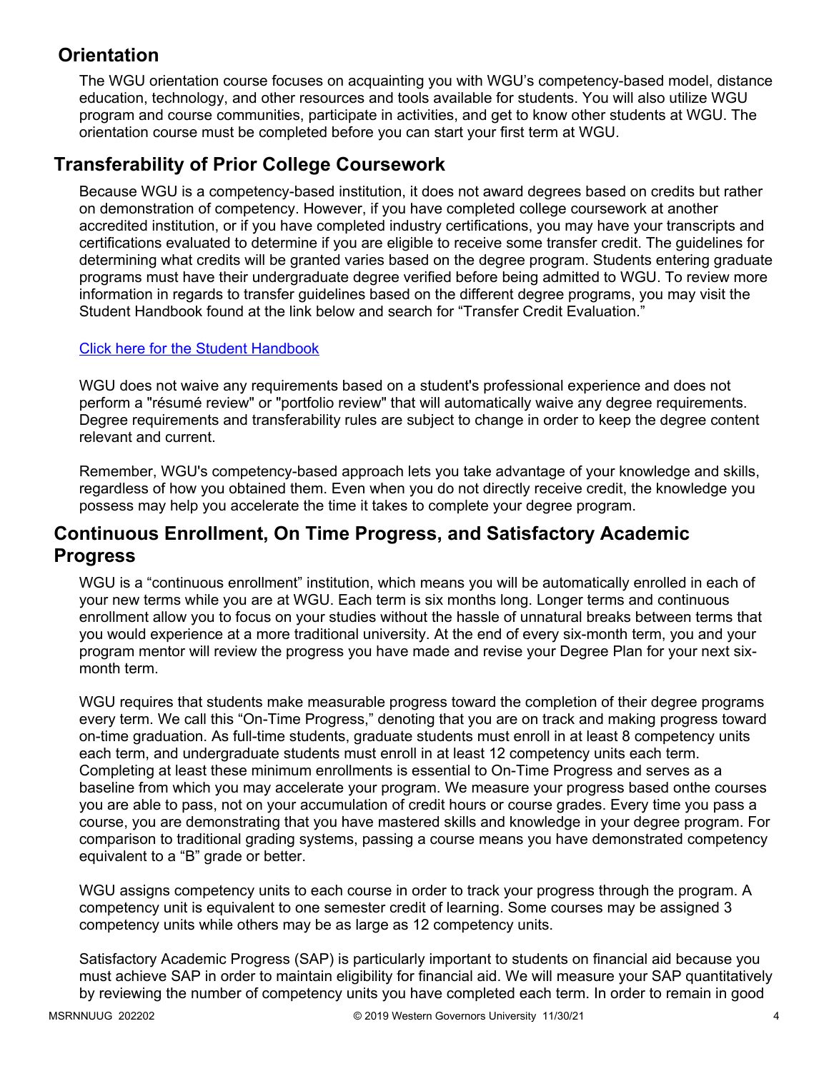# **Orientation**

The WGU orientation course focuses on acquainting you with WGU's competency-based model, distance education, technology, and other resources and tools available for students. You will also utilize WGU program and course communities, participate in activities, and get to know other students at WGU. The orientation course must be completed before you can start your first term at WGU.

# **Transferability of Prior College Coursework**

Because WGU is a competency-based institution, it does not award degrees based on credits but rather on demonstration of competency. However, if you have completed college coursework at another accredited institution, or if you have completed industry certifications, you may have your transcripts and certifications evaluated to determine if you are eligible to receive some transfer credit. The guidelines for determining what credits will be granted varies based on the degree program. Students entering graduate programs must have their undergraduate degree verified before being admitted to WGU. To review more information in regards to transfer guidelines based on the different degree programs, you may visit the Student Handbook found at the link below and search for "Transfer Credit Evaluation."

### [Click here for the Student Handbook](http://cm.wgu.edu/)

WGU does not waive any requirements based on a student's professional experience and does not perform a "résumé review" or "portfolio review" that will automatically waive any degree requirements. Degree requirements and transferability rules are subject to change in order to keep the degree content relevant and current.

Remember, WGU's competency-based approach lets you take advantage of your knowledge and skills, regardless of how you obtained them. Even when you do not directly receive credit, the knowledge you possess may help you accelerate the time it takes to complete your degree program.

# **Continuous Enrollment, On Time Progress, and Satisfactory Academic Progress**

WGU is a "continuous enrollment" institution, which means you will be automatically enrolled in each of your new terms while you are at WGU. Each term is six months long. Longer terms and continuous enrollment allow you to focus on your studies without the hassle of unnatural breaks between terms that you would experience at a more traditional university. At the end of every six-month term, you and your program mentor will review the progress you have made and revise your Degree Plan for your next sixmonth term.

WGU requires that students make measurable progress toward the completion of their degree programs every term. We call this "On-Time Progress," denoting that you are on track and making progress toward on-time graduation. As full-time students, graduate students must enroll in at least 8 competency units each term, and undergraduate students must enroll in at least 12 competency units each term. Completing at least these minimum enrollments is essential to On-Time Progress and serves as a baseline from which you may accelerate your program. We measure your progress based onthe courses you are able to pass, not on your accumulation of credit hours or course grades. Every time you pass a course, you are demonstrating that you have mastered skills and knowledge in your degree program. For comparison to traditional grading systems, passing a course means you have demonstrated competency equivalent to a "B" grade or better.

WGU assigns competency units to each course in order to track your progress through the program. A competency unit is equivalent to one semester credit of learning. Some courses may be assigned 3 competency units while others may be as large as 12 competency units.

Satisfactory Academic Progress (SAP) is particularly important to students on financial aid because you must achieve SAP in order to maintain eligibility for financial aid. We will measure your SAP quantitatively by reviewing the number of competency units you have completed each term. In order to remain in good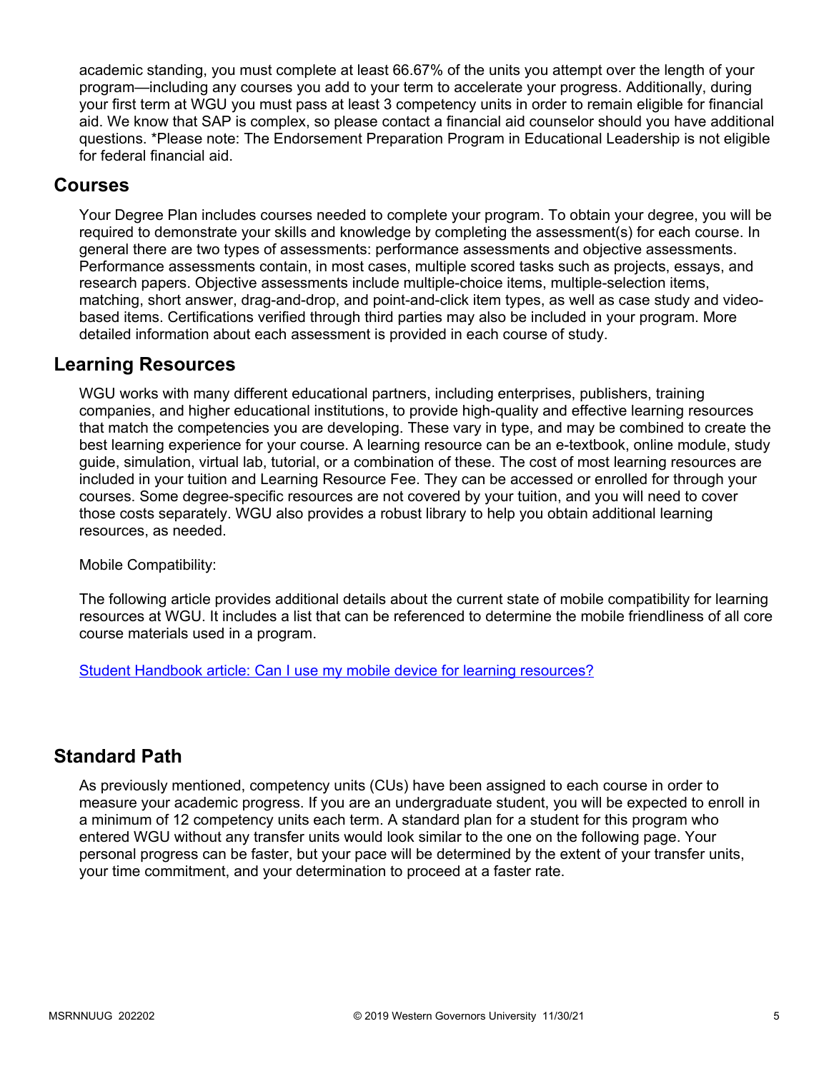academic standing, you must complete at least 66.67% of the units you attempt over the length of your program—including any courses you add to your term to accelerate your progress. Additionally, during your first term at WGU you must pass at least 3 competency units in order to remain eligible for financial aid. We know that SAP is complex, so please contact a financial aid counselor should you have additional questions. \*Please note: The Endorsement Preparation Program in Educational Leadership is not eligible for federal financial aid.

## **Courses**

Your Degree Plan includes courses needed to complete your program. To obtain your degree, you will be required to demonstrate your skills and knowledge by completing the assessment(s) for each course. In general there are two types of assessments: performance assessments and objective assessments. Performance assessments contain, in most cases, multiple scored tasks such as projects, essays, and research papers. Objective assessments include multiple-choice items, multiple-selection items, matching, short answer, drag-and-drop, and point-and-click item types, as well as case study and videobased items. Certifications verified through third parties may also be included in your program. More detailed information about each assessment is provided in each course of study.

# **Learning Resources**

WGU works with many different educational partners, including enterprises, publishers, training companies, and higher educational institutions, to provide high-quality and effective learning resources that match the competencies you are developing. These vary in type, and may be combined to create the best learning experience for your course. A learning resource can be an e-textbook, online module, study guide, simulation, virtual lab, tutorial, or a combination of these. The cost of most learning resources are included in your tuition and Learning Resource Fee. They can be accessed or enrolled for through your courses. Some degree-specific resources are not covered by your tuition, and you will need to cover those costs separately. WGU also provides a robust library to help you obtain additional learning resources, as needed.

Mobile Compatibility:

The following article provides additional details about the current state of mobile compatibility for learning resources at WGU. It includes a list that can be referenced to determine the mobile friendliness of all core course materials used in a program.

[Student Handbook article: Can I use my mobile device for learning resources?](https://cm.wgu.edu/t5/Frequently-Asked-Questions/Can-I-use-my-mobile-device-for-learning-resources/ta-p/396)

# **Standard Path**

As previously mentioned, competency units (CUs) have been assigned to each course in order to measure your academic progress. If you are an undergraduate student, you will be expected to enroll in a minimum of 12 competency units each term. A standard plan for a student for this program who entered WGU without any transfer units would look similar to the one on the following page. Your personal progress can be faster, but your pace will be determined by the extent of your transfer units, your time commitment, and your determination to proceed at a faster rate.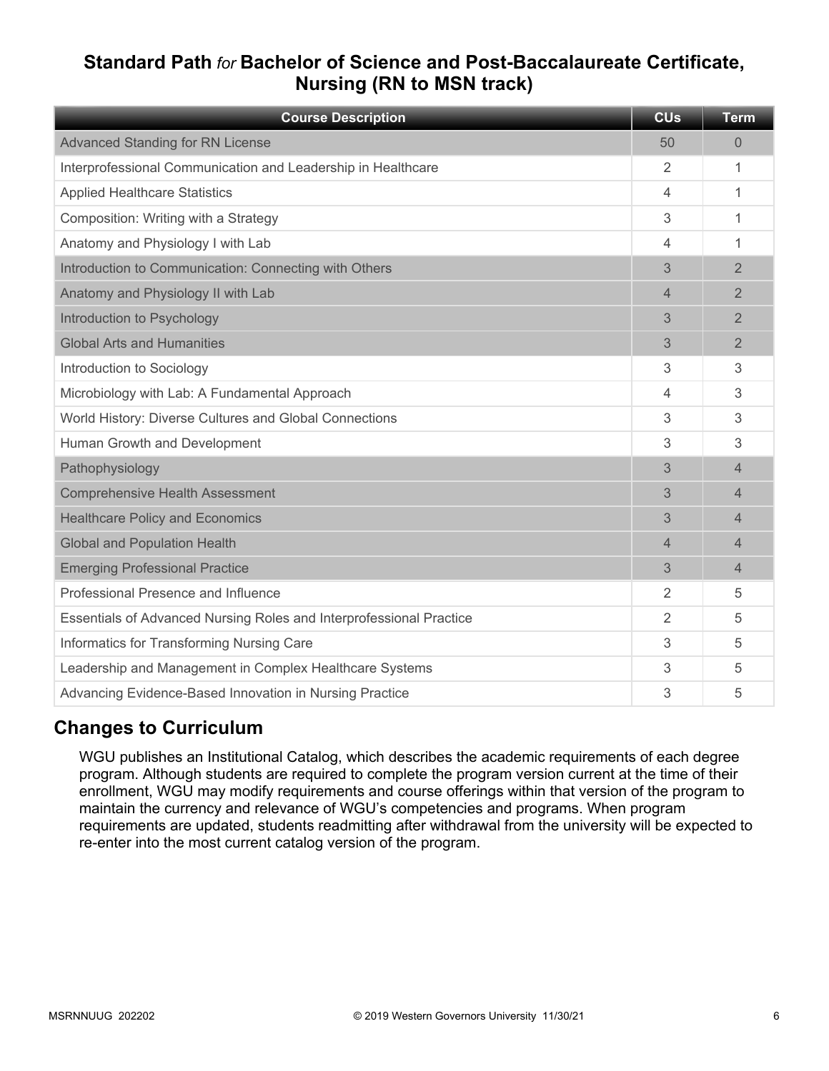# **Standard Path** *for* **Bachelor of Science and Post-Baccalaureate Certificate, Nursing (RN to MSN track)**

| <b>Course Description</b>                                           | <b>CU<sub>s</sub></b> | <b>Term</b>    |
|---------------------------------------------------------------------|-----------------------|----------------|
| <b>Advanced Standing for RN License</b>                             | 50                    | $\Omega$       |
| Interprofessional Communication and Leadership in Healthcare        | $\overline{2}$        | 1              |
| <b>Applied Healthcare Statistics</b>                                | 4                     | 1              |
| Composition: Writing with a Strategy                                | 3                     | 1              |
| Anatomy and Physiology I with Lab                                   | 4                     | 1              |
| Introduction to Communication: Connecting with Others               | 3                     | $\overline{2}$ |
| Anatomy and Physiology II with Lab                                  | 4                     | $\overline{2}$ |
| Introduction to Psychology                                          | 3                     | $\overline{2}$ |
| <b>Global Arts and Humanities</b>                                   | 3                     | $\overline{2}$ |
| Introduction to Sociology                                           | 3                     | 3              |
| Microbiology with Lab: A Fundamental Approach                       | 4                     | 3              |
| World History: Diverse Cultures and Global Connections              | 3                     | 3              |
| Human Growth and Development                                        | 3                     | 3              |
| Pathophysiology                                                     | 3                     | $\overline{4}$ |
| <b>Comprehensive Health Assessment</b>                              | 3                     | $\overline{4}$ |
| <b>Healthcare Policy and Economics</b>                              | 3                     | 4              |
| <b>Global and Population Health</b>                                 | 4                     | $\overline{4}$ |
| <b>Emerging Professional Practice</b>                               | 3                     | $\overline{4}$ |
| Professional Presence and Influence                                 | 2                     | 5              |
| Essentials of Advanced Nursing Roles and Interprofessional Practice | 2                     | 5              |
| Informatics for Transforming Nursing Care                           | 3                     | 5              |
| Leadership and Management in Complex Healthcare Systems             | 3                     | 5              |
| Advancing Evidence-Based Innovation in Nursing Practice             | 3                     | 5              |

# **Changes to Curriculum**

WGU publishes an Institutional Catalog, which describes the academic requirements of each degree program. Although students are required to complete the program version current at the time of their enrollment, WGU may modify requirements and course offerings within that version of the program to maintain the currency and relevance of WGU's competencies and programs. When program requirements are updated, students readmitting after withdrawal from the university will be expected to re-enter into the most current catalog version of the program.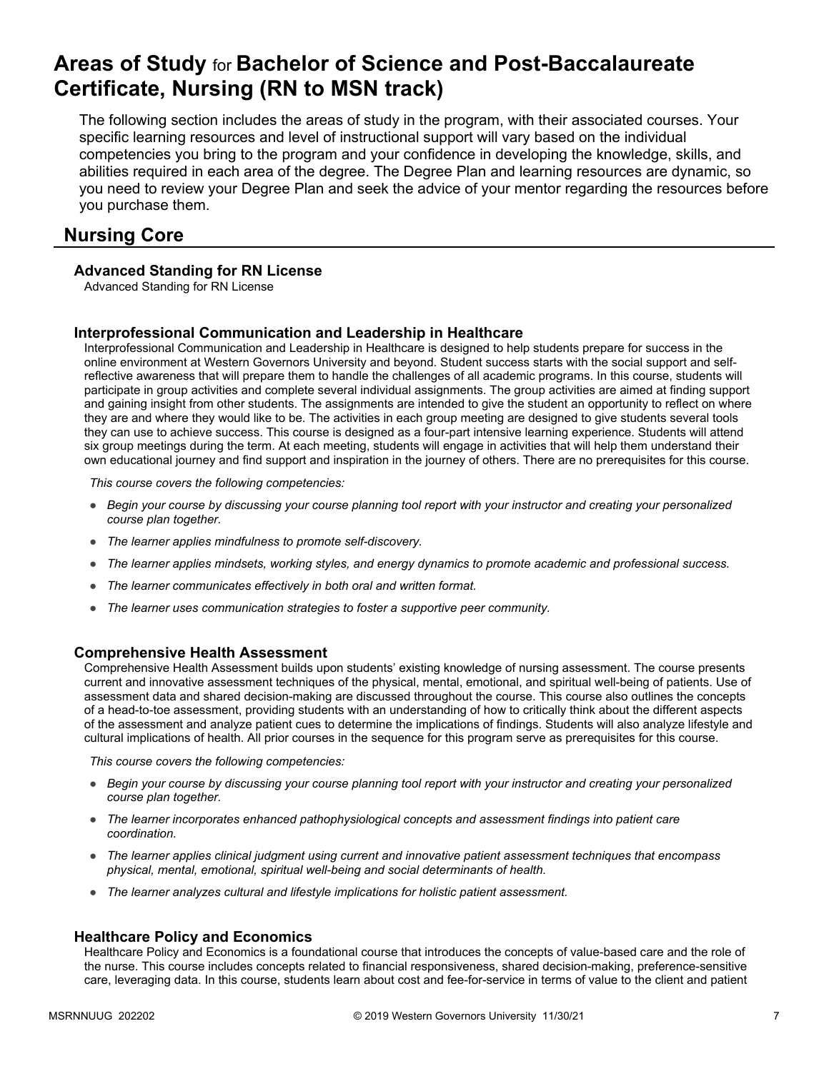# **Areas of Study** for **Bachelor of Science and Post-Baccalaureate Certificate, Nursing (RN to MSN track)**

The following section includes the areas of study in the program, with their associated courses. Your specific learning resources and level of instructional support will vary based on the individual competencies you bring to the program and your confidence in developing the knowledge, skills, and abilities required in each area of the degree. The Degree Plan and learning resources are dynamic, so you need to review your Degree Plan and seek the advice of your mentor regarding the resources before you purchase them.

# **Nursing Core**

### **Advanced Standing for RN License**

Advanced Standing for RN License

### **Interprofessional Communication and Leadership in Healthcare**

Interprofessional Communication and Leadership in Healthcare is designed to help students prepare for success in the online environment at Western Governors University and beyond. Student success starts with the social support and selfreflective awareness that will prepare them to handle the challenges of all academic programs. In this course, students will participate in group activities and complete several individual assignments. The group activities are aimed at finding support and gaining insight from other students. The assignments are intended to give the student an opportunity to reflect on where they are and where they would like to be. The activities in each group meeting are designed to give students several tools they can use to achieve success. This course is designed as a four-part intensive learning experience. Students will attend six group meetings during the term. At each meeting, students will engage in activities that will help them understand their own educational journey and find support and inspiration in the journey of others. There are no prerequisites for this course.

*This course covers the following competencies:*

- *Begin your course by discussing your course planning tool report with your instructor and creating your personalized course plan together.*
- *The learner applies mindfulness to promote self-discovery.*
- *The learner applies mindsets, working styles, and energy dynamics to promote academic and professional success.*
- *The learner communicates effectively in both oral and written format.*
- *The learner uses communication strategies to foster a supportive peer community.*

### **Comprehensive Health Assessment**

Comprehensive Health Assessment builds upon students' existing knowledge of nursing assessment. The course presents current and innovative assessment techniques of the physical, mental, emotional, and spiritual well-being of patients. Use of assessment data and shared decision-making are discussed throughout the course. This course also outlines the concepts of a head-to-toe assessment, providing students with an understanding of how to critically think about the different aspects of the assessment and analyze patient cues to determine the implications of findings. Students will also analyze lifestyle and cultural implications of health. All prior courses in the sequence for this program serve as prerequisites for this course.

*This course covers the following competencies:*

- *Begin your course by discussing your course planning tool report with your instructor and creating your personalized course plan together.*
- *The learner incorporates enhanced pathophysiological concepts and assessment findings into patient care coordination.*
- *The learner applies clinical judgment using current and innovative patient assessment techniques that encompass physical, mental, emotional, spiritual well-being and social determinants of health.*
- *The learner analyzes cultural and lifestyle implications for holistic patient assessment.*

### **Healthcare Policy and Economics**

Healthcare Policy and Economics is a foundational course that introduces the concepts of value-based care and the role of the nurse. This course includes concepts related to financial responsiveness, shared decision-making, preference-sensitive care, leveraging data. In this course, students learn about cost and fee-for-service in terms of value to the client and patient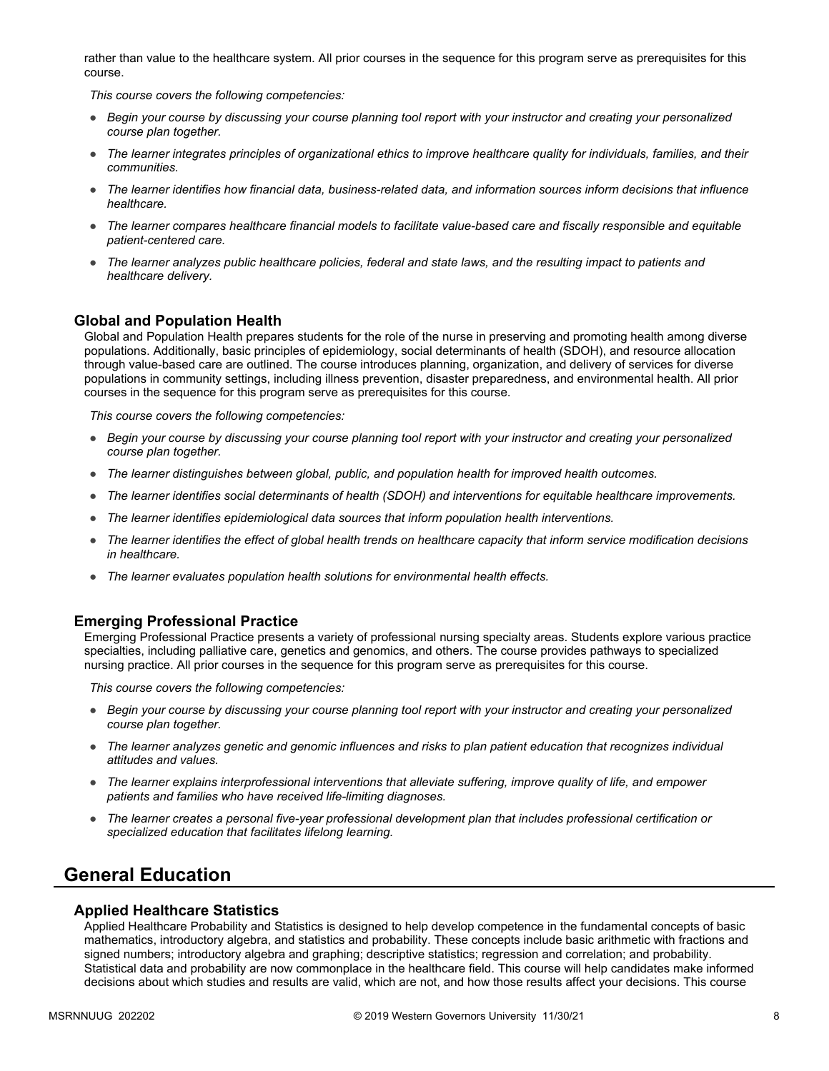rather than value to the healthcare system. All prior courses in the sequence for this program serve as prerequisites for this course.

*This course covers the following competencies:*

- *Begin your course by discussing your course planning tool report with your instructor and creating your personalized course plan together.*
- *The learner integrates principles of organizational ethics to improve healthcare quality for individuals, families, and their communities.*
- *The learner identifies how financial data, business-related data, and information sources inform decisions that influence healthcare.*
- *The learner compares healthcare financial models to facilitate value-based care and fiscally responsible and equitable patient-centered care.*
- *The learner analyzes public healthcare policies, federal and state laws, and the resulting impact to patients and healthcare delivery.*

### **Global and Population Health**

Global and Population Health prepares students for the role of the nurse in preserving and promoting health among diverse populations. Additionally, basic principles of epidemiology, social determinants of health (SDOH), and resource allocation through value-based care are outlined. The course introduces planning, organization, and delivery of services for diverse populations in community settings, including illness prevention, disaster preparedness, and environmental health. All prior courses in the sequence for this program serve as prerequisites for this course.

*This course covers the following competencies:*

- *Begin your course by discussing your course planning tool report with your instructor and creating your personalized course plan together.*
- *The learner distinguishes between global, public, and population health for improved health outcomes.*
- *The learner identifies social determinants of health (SDOH) and interventions for equitable healthcare improvements.*
- *The learner identifies epidemiological data sources that inform population health interventions.*
- *The learner identifies the effect of global health trends on healthcare capacity that inform service modification decisions in healthcare.*
- *The learner evaluates population health solutions for environmental health effects.*

### **Emerging Professional Practice**

Emerging Professional Practice presents a variety of professional nursing specialty areas. Students explore various practice specialties, including palliative care, genetics and genomics, and others. The course provides pathways to specialized nursing practice. All prior courses in the sequence for this program serve as prerequisites for this course.

*This course covers the following competencies:*

- *Begin your course by discussing your course planning tool report with your instructor and creating your personalized course plan together.*
- *The learner analyzes genetic and genomic influences and risks to plan patient education that recognizes individual attitudes and values.*
- *The learner explains interprofessional interventions that alleviate suffering, improve quality of life, and empower patients and families who have received life-limiting diagnoses.*
- *The learner creates a personal five-year professional development plan that includes professional certification or specialized education that facilitates lifelong learning.*

### **General Education**

### **Applied Healthcare Statistics**

Applied Healthcare Probability and Statistics is designed to help develop competence in the fundamental concepts of basic mathematics, introductory algebra, and statistics and probability. These concepts include basic arithmetic with fractions and signed numbers; introductory algebra and graphing; descriptive statistics; regression and correlation; and probability. Statistical data and probability are now commonplace in the healthcare field. This course will help candidates make informed decisions about which studies and results are valid, which are not, and how those results affect your decisions. This course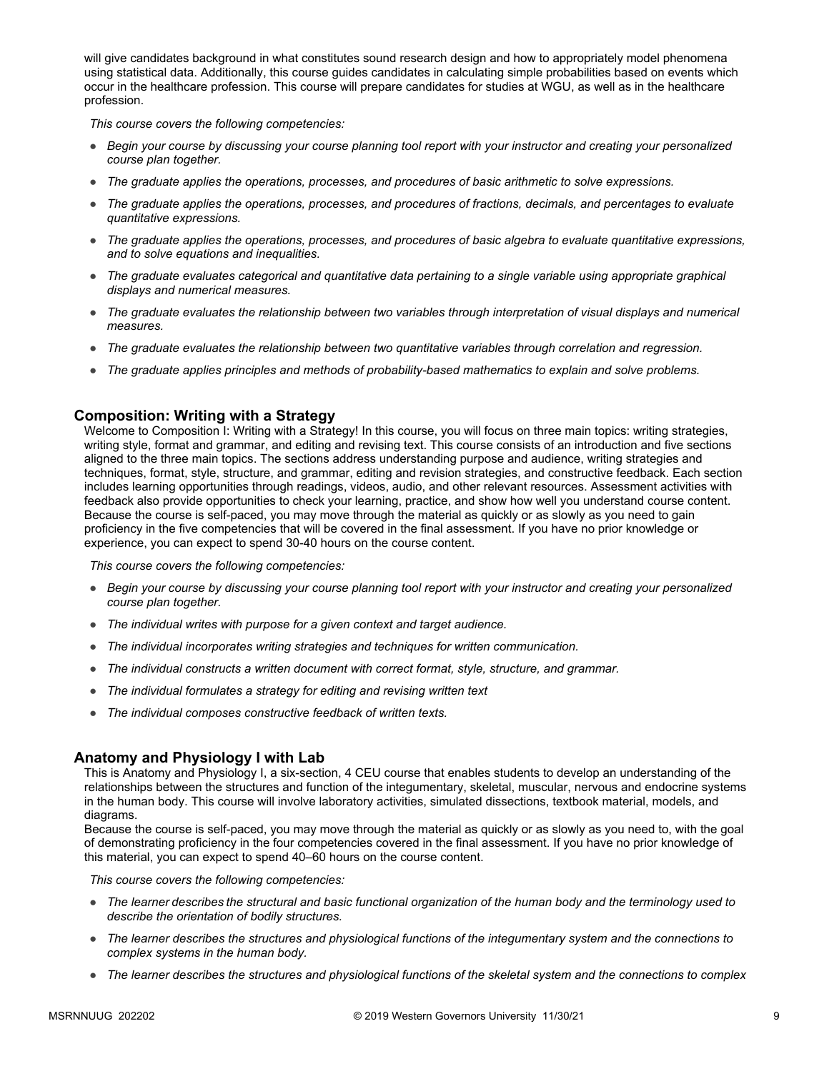will give candidates background in what constitutes sound research design and how to appropriately model phenomena using statistical data. Additionally, this course guides candidates in calculating simple probabilities based on events which occur in the healthcare profession. This course will prepare candidates for studies at WGU, as well as in the healthcare profession.

*This course covers the following competencies:*

- *Begin your course by discussing your course planning tool report with your instructor and creating your personalized course plan together.*
- *The graduate applies the operations, processes, and procedures of basic arithmetic to solve expressions.*
- *The graduate applies the operations, processes, and procedures of fractions, decimals, and percentages to evaluate quantitative expressions.*
- *The graduate applies the operations, processes, and procedures of basic algebra to evaluate quantitative expressions, and to solve equations and inequalities.*
- *The graduate evaluates categorical and quantitative data pertaining to a single variable using appropriate graphical displays and numerical measures.*
- *The graduate evaluates the relationship between two variables through interpretation of visual displays and numerical measures.*
- *The graduate evaluates the relationship between two quantitative variables through correlation and regression.*
- *The graduate applies principles and methods of probability-based mathematics to explain and solve problems.*

### **Composition: Writing with a Strategy**

Welcome to Composition I: Writing with a Strategy! In this course, you will focus on three main topics: writing strategies, writing style, format and grammar, and editing and revising text. This course consists of an introduction and five sections aligned to the three main topics. The sections address understanding purpose and audience, writing strategies and techniques, format, style, structure, and grammar, editing and revision strategies, and constructive feedback. Each section includes learning opportunities through readings, videos, audio, and other relevant resources. Assessment activities with feedback also provide opportunities to check your learning, practice, and show how well you understand course content. Because the course is self-paced, you may move through the material as quickly or as slowly as you need to gain proficiency in the five competencies that will be covered in the final assessment. If you have no prior knowledge or experience, you can expect to spend 30-40 hours on the course content.

*This course covers the following competencies:*

- *Begin your course by discussing your course planning tool report with your instructor and creating your personalized course plan together.*
- *The individual writes with purpose for a given context and target audience.*
- *The individual incorporates writing strategies and techniques for written communication.*
- *The individual constructs a written document with correct format, style, structure, and grammar.*
- *The individual formulates a strategy for editing and revising written text*
- *The individual composes constructive feedback of written texts.*

### **Anatomy and Physiology I with Lab**

This is Anatomy and Physiology I, a six-section, 4 CEU course that enables students to develop an understanding of the relationships between the structures and function of the integumentary, skeletal, muscular, nervous and endocrine systems in the human body. This course will involve laboratory activities, simulated dissections, textbook material, models, and diagrams.

Because the course is self-paced, you may move through the material as quickly or as slowly as you need to, with the goal of demonstrating proficiency in the four competencies covered in the final assessment. If you have no prior knowledge of this material, you can expect to spend 40–60 hours on the course content.

- *The learner describes the structural and basic functional organization of the human body and the terminology used to describe the orientation of bodily structures.*
- *The learner describes the structures and physiological functions of the integumentary system and the connections to complex systems in the human body.*
- *The learner describes the structures and physiological functions of the skeletal system and the connections to complex*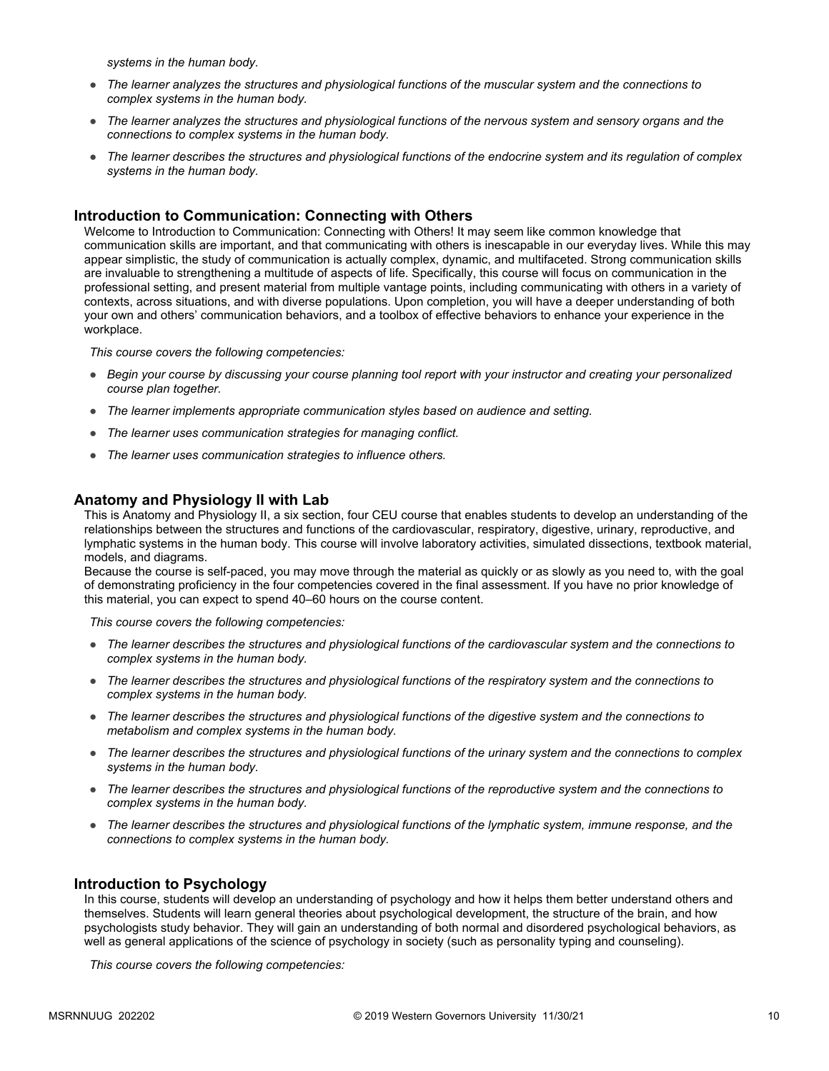*systems in the human body.*

- *The learner analyzes the structures and physiological functions of the muscular system and the connections to complex systems in the human body.*
- *The learner analyzes the structures and physiological functions of the nervous system and sensory organs and the connections to complex systems in the human body.*
- *The learner describes the structures and physiological functions of the endocrine system and its regulation of complex systems in the human body.*

### **Introduction to Communication: Connecting with Others**

Welcome to Introduction to Communication: Connecting with Others! It may seem like common knowledge that communication skills are important, and that communicating with others is inescapable in our everyday lives. While this may appear simplistic, the study of communication is actually complex, dynamic, and multifaceted. Strong communication skills are invaluable to strengthening a multitude of aspects of life. Specifically, this course will focus on communication in the professional setting, and present material from multiple vantage points, including communicating with others in a variety of contexts, across situations, and with diverse populations. Upon completion, you will have a deeper understanding of both your own and others' communication behaviors, and a toolbox of effective behaviors to enhance your experience in the workplace.

*This course covers the following competencies:*

- *Begin your course by discussing your course planning tool report with your instructor and creating your personalized course plan together.*
- *The learner implements appropriate communication styles based on audience and setting.*
- *The learner uses communication strategies for managing conflict.*
- *The learner uses communication strategies to influence others.*

### **Anatomy and Physiology II with Lab**

This is Anatomy and Physiology II, a six section, four CEU course that enables students to develop an understanding of the relationships between the structures and functions of the cardiovascular, respiratory, digestive, urinary, reproductive, and lymphatic systems in the human body. This course will involve laboratory activities, simulated dissections, textbook material, models, and diagrams.

Because the course is self-paced, you may move through the material as quickly or as slowly as you need to, with the goal of demonstrating proficiency in the four competencies covered in the final assessment. If you have no prior knowledge of this material, you can expect to spend 40–60 hours on the course content.

*This course covers the following competencies:*

- *The learner describes the structures and physiological functions of the cardiovascular system and the connections to complex systems in the human body.*
- *The learner describes the structures and physiological functions of the respiratory system and the connections to complex systems in the human body.*
- *The learner describes the structures and physiological functions of the digestive system and the connections to metabolism and complex systems in the human body.*
- *The learner describes the structures and physiological functions of the urinary system and the connections to complex systems in the human body.*
- *The learner describes the structures and physiological functions of the reproductive system and the connections to complex systems in the human body.*
- The learner describes the structures and physiological functions of the lymphatic system, immune response, and the *connections to complex systems in the human body.*

### **Introduction to Psychology**

In this course, students will develop an understanding of psychology and how it helps them better understand others and themselves. Students will learn general theories about psychological development, the structure of the brain, and how psychologists study behavior. They will gain an understanding of both normal and disordered psychological behaviors, as well as general applications of the science of psychology in society (such as personality typing and counseling).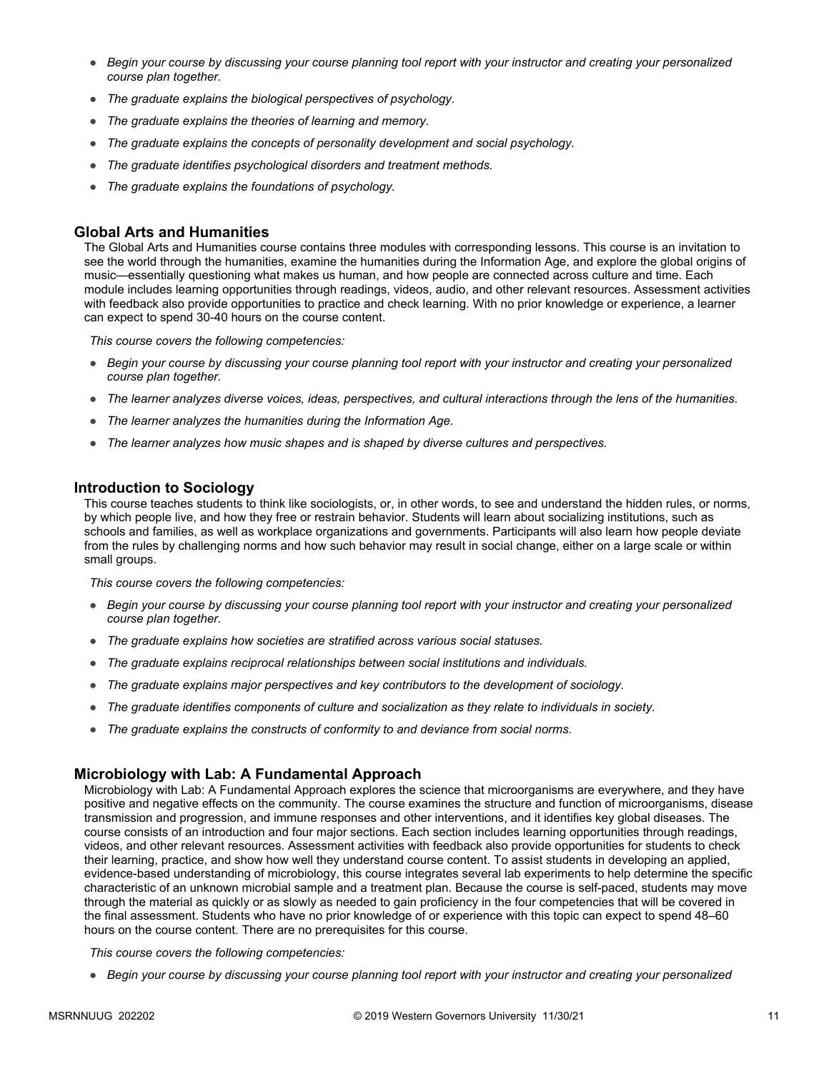- *Begin your course by discussing your course planning tool report with your instructor and creating your personalized course plan together.*
- *The graduate explains the biological perspectives of psychology.*
- *The graduate explains the theories of learning and memory.*
- *The graduate explains the concepts of personality development and social psychology.*
- *The graduate identifies psychological disorders and treatment methods.*
- *The graduate explains the foundations of psychology.*

### **Global Arts and Humanities**

The Global Arts and Humanities course contains three modules with corresponding lessons. This course is an invitation to see the world through the humanities, examine the humanities during the Information Age, and explore the global origins of music—essentially questioning what makes us human, and how people are connected across culture and time. Each module includes learning opportunities through readings, videos, audio, and other relevant resources. Assessment activities with feedback also provide opportunities to practice and check learning. With no prior knowledge or experience, a learner can expect to spend 30-40 hours on the course content.

*This course covers the following competencies:*

- *Begin your course by discussing your course planning tool report with your instructor and creating your personalized course plan together.*
- *The learner analyzes diverse voices, ideas, perspectives, and cultural interactions through the lens of the humanities.*
- *The learner analyzes the humanities during the Information Age.*
- *The learner analyzes how music shapes and is shaped by diverse cultures and perspectives.*

### **Introduction to Sociology**

This course teaches students to think like sociologists, or, in other words, to see and understand the hidden rules, or norms, by which people live, and how they free or restrain behavior. Students will learn about socializing institutions, such as schools and families, as well as workplace organizations and governments. Participants will also learn how people deviate from the rules by challenging norms and how such behavior may result in social change, either on a large scale or within small groups.

*This course covers the following competencies:*

- *Begin your course by discussing your course planning tool report with your instructor and creating your personalized course plan together.*
- *The graduate explains how societies are stratified across various social statuses.*
- *The graduate explains reciprocal relationships between social institutions and individuals.*
- *The graduate explains major perspectives and key contributors to the development of sociology.*
- *The graduate identifies components of culture and socialization as they relate to individuals in society.*
- *The graduate explains the constructs of conformity to and deviance from social norms.*

### **Microbiology with Lab: A Fundamental Approach**

Microbiology with Lab: A Fundamental Approach explores the science that microorganisms are everywhere, and they have positive and negative effects on the community. The course examines the structure and function of microorganisms, disease transmission and progression, and immune responses and other interventions, and it identifies key global diseases. The course consists of an introduction and four major sections. Each section includes learning opportunities through readings, videos, and other relevant resources. Assessment activities with feedback also provide opportunities for students to check their learning, practice, and show how well they understand course content. To assist students in developing an applied, evidence-based understanding of microbiology, this course integrates several lab experiments to help determine the specific characteristic of an unknown microbial sample and a treatment plan. Because the course is self-paced, students may move through the material as quickly or as slowly as needed to gain proficiency in the four competencies that will be covered in the final assessment. Students who have no prior knowledge of or experience with this topic can expect to spend 48–60 hours on the course content. There are no prerequisites for this course.

*This course covers the following competencies:*

● *Begin your course by discussing your course planning tool report with your instructor and creating your personalized*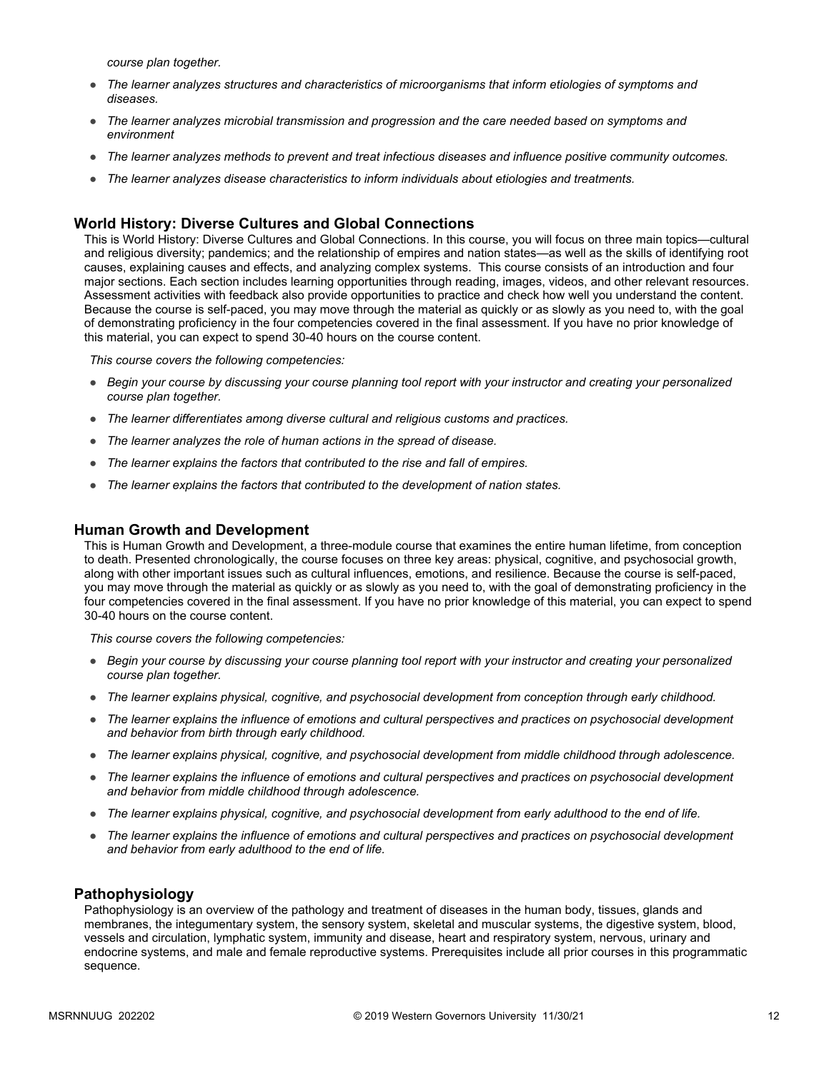*course plan together.*

- *The learner analyzes structures and characteristics of microorganisms that inform etiologies of symptoms and diseases.*
- *The learner analyzes microbial transmission and progression and the care needed based on symptoms and environment*
- *The learner analyzes methods to prevent and treat infectious diseases and influence positive community outcomes.*
- *The learner analyzes disease characteristics to inform individuals about etiologies and treatments.*

### **World History: Diverse Cultures and Global Connections**

This is World History: Diverse Cultures and Global Connections. In this course, you will focus on three main topics—cultural and religious diversity; pandemics; and the relationship of empires and nation states—as well as the skills of identifying root causes, explaining causes and effects, and analyzing complex systems. This course consists of an introduction and four major sections. Each section includes learning opportunities through reading, images, videos, and other relevant resources. Assessment activities with feedback also provide opportunities to practice and check how well you understand the content. Because the course is self-paced, you may move through the material as quickly or as slowly as you need to, with the goal of demonstrating proficiency in the four competencies covered in the final assessment. If you have no prior knowledge of this material, you can expect to spend 30-40 hours on the course content.

*This course covers the following competencies:*

- *Begin your course by discussing your course planning tool report with your instructor and creating your personalized course plan together.*
- *The learner differentiates among diverse cultural and religious customs and practices.*
- *The learner analyzes the role of human actions in the spread of disease.*
- *The learner explains the factors that contributed to the rise and fall of empires.*
- *The learner explains the factors that contributed to the development of nation states.*

### **Human Growth and Development**

This is Human Growth and Development, a three-module course that examines the entire human lifetime, from conception to death. Presented chronologically, the course focuses on three key areas: physical, cognitive, and psychosocial growth, along with other important issues such as cultural influences, emotions, and resilience. Because the course is self-paced, you may move through the material as quickly or as slowly as you need to, with the goal of demonstrating proficiency in the four competencies covered in the final assessment. If you have no prior knowledge of this material, you can expect to spend 30-40 hours on the course content.

*This course covers the following competencies:*

- *Begin your course by discussing your course planning tool report with your instructor and creating your personalized course plan together.*
- *The learner explains physical, cognitive, and psychosocial development from conception through early childhood.*
- *The learner explains the influence of emotions and cultural perspectives and practices on psychosocial development and behavior from birth through early childhood.*
- *The learner explains physical, cognitive, and psychosocial development from middle childhood through adolescence.*
- *The learner explains the influence of emotions and cultural perspectives and practices on psychosocial development and behavior from middle childhood through adolescence.*
- *The learner explains physical, cognitive, and psychosocial development from early adulthood to the end of life.*
- *The learner explains the influence of emotions and cultural perspectives and practices on psychosocial development and behavior from early adulthood to the end of life.*

### **Pathophysiology**

Pathophysiology is an overview of the pathology and treatment of diseases in the human body, tissues, glands and membranes, the integumentary system, the sensory system, skeletal and muscular systems, the digestive system, blood, vessels and circulation, lymphatic system, immunity and disease, heart and respiratory system, nervous, urinary and endocrine systems, and male and female reproductive systems. Prerequisites include all prior courses in this programmatic sequence.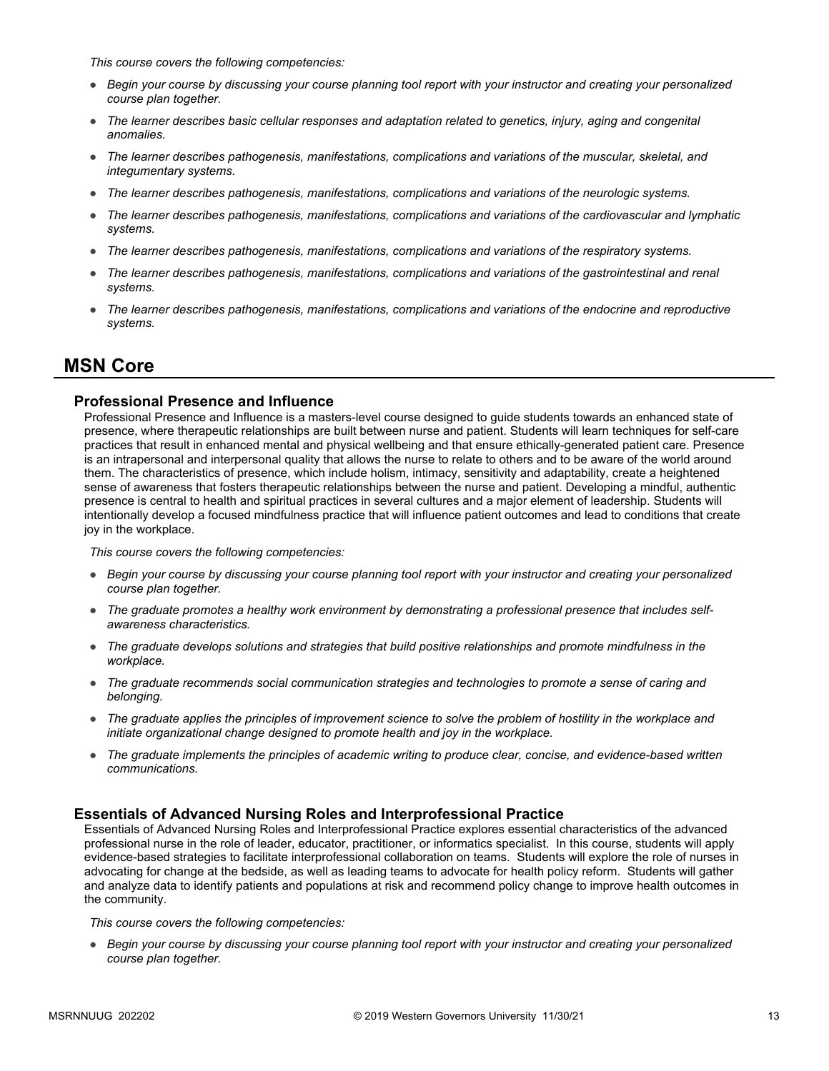*This course covers the following competencies:*

- *Begin your course by discussing your course planning tool report with your instructor and creating your personalized course plan together.*
- *The learner describes basic cellular responses and adaptation related to genetics, injury, aging and congenital anomalies.*
- *The learner describes pathogenesis, manifestations, complications and variations of the muscular, skeletal, and integumentary systems.*
- *The learner describes pathogenesis, manifestations, complications and variations of the neurologic systems.*
- *The learner describes pathogenesis, manifestations, complications and variations of the cardiovascular and lymphatic systems.*
- *The learner describes pathogenesis, manifestations, complications and variations of the respiratory systems.*
- *The learner describes pathogenesis, manifestations, complications and variations of the gastrointestinal and renal systems.*
- *The learner describes pathogenesis, manifestations, complications and variations of the endocrine and reproductive systems.*

### **MSN Core**

### **Professional Presence and Influence**

Professional Presence and Influence is a masters-level course designed to guide students towards an enhanced state of presence, where therapeutic relationships are built between nurse and patient. Students will learn techniques for self-care practices that result in enhanced mental and physical wellbeing and that ensure ethically-generated patient care. Presence is an intrapersonal and interpersonal quality that allows the nurse to relate to others and to be aware of the world around them. The characteristics of presence, which include holism, intimacy, sensitivity and adaptability, create a heightened sense of awareness that fosters therapeutic relationships between the nurse and patient. Developing a mindful, authentic presence is central to health and spiritual practices in several cultures and a major element of leadership. Students will intentionally develop a focused mindfulness practice that will influence patient outcomes and lead to conditions that create joy in the workplace.

*This course covers the following competencies:*

- *Begin your course by discussing your course planning tool report with your instructor and creating your personalized course plan together.*
- *The graduate promotes a healthy work environment by demonstrating a professional presence that includes selfawareness characteristics.*
- *The graduate develops solutions and strategies that build positive relationships and promote mindfulness in the workplace.*
- *The graduate recommends social communication strategies and technologies to promote a sense of caring and belonging.*
- *The graduate applies the principles of improvement science to solve the problem of hostility in the workplace and initiate organizational change designed to promote health and joy in the workplace.*
- *The graduate implements the principles of academic writing to produce clear, concise, and evidence-based written communications.*

### **Essentials of Advanced Nursing Roles and Interprofessional Practice**

Essentials of Advanced Nursing Roles and Interprofessional Practice explores essential characteristics of the advanced professional nurse in the role of leader, educator, practitioner, or informatics specialist. In this course, students will apply evidence-based strategies to facilitate interprofessional collaboration on teams. Students will explore the role of nurses in advocating for change at the bedside, as well as leading teams to advocate for health policy reform. Students will gather and analyze data to identify patients and populations at risk and recommend policy change to improve health outcomes in the community.

*This course covers the following competencies:*

● *Begin your course by discussing your course planning tool report with your instructor and creating your personalized course plan together.*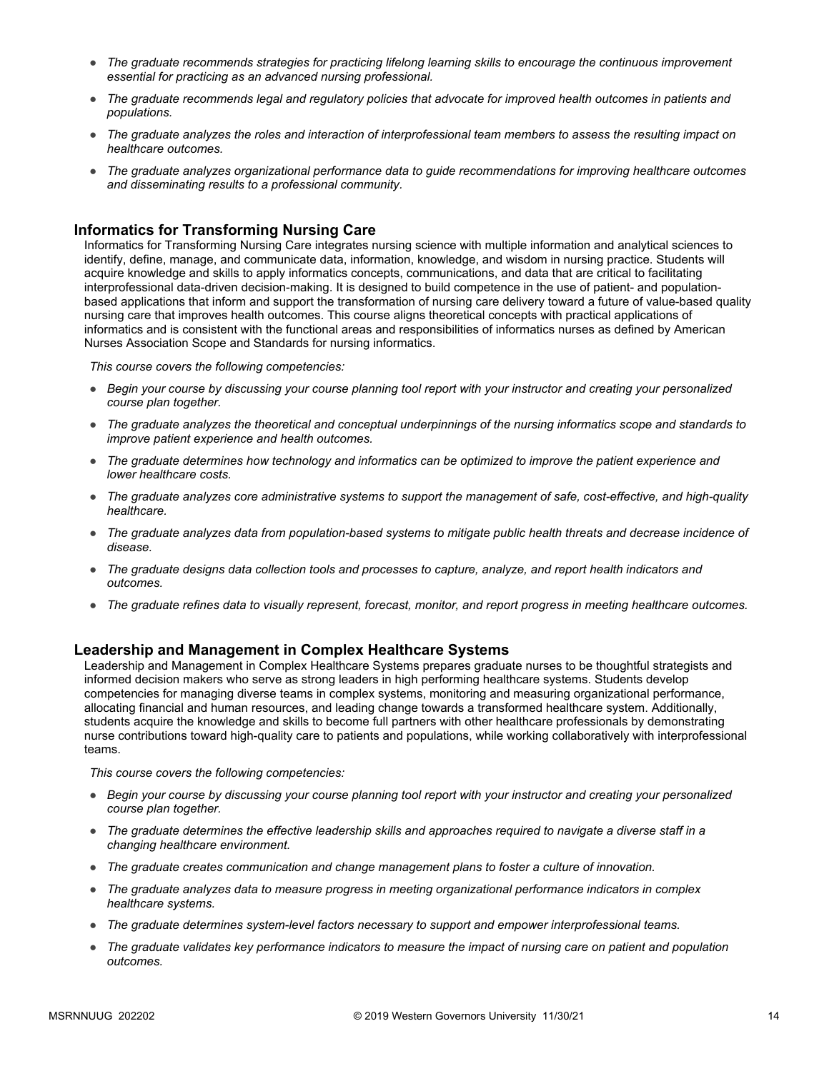- *The graduate recommends strategies for practicing lifelong learning skills to encourage the continuous improvement essential for practicing as an advanced nursing professional.*
- *The graduate recommends legal and regulatory policies that advocate for improved health outcomes in patients and populations.*
- *The graduate analyzes the roles and interaction of interprofessional team members to assess the resulting impact on healthcare outcomes.*
- *The graduate analyzes organizational performance data to guide recommendations for improving healthcare outcomes and disseminating results to a professional community.*

### **Informatics for Transforming Nursing Care**

Informatics for Transforming Nursing Care integrates nursing science with multiple information and analytical sciences to identify, define, manage, and communicate data, information, knowledge, and wisdom in nursing practice. Students will acquire knowledge and skills to apply informatics concepts, communications, and data that are critical to facilitating interprofessional data-driven decision-making. It is designed to build competence in the use of patient- and populationbased applications that inform and support the transformation of nursing care delivery toward a future of value-based quality nursing care that improves health outcomes. This course aligns theoretical concepts with practical applications of informatics and is consistent with the functional areas and responsibilities of informatics nurses as defined by American Nurses Association Scope and Standards for nursing informatics.

*This course covers the following competencies:*

- *Begin your course by discussing your course planning tool report with your instructor and creating your personalized course plan together.*
- *The graduate analyzes the theoretical and conceptual underpinnings of the nursing informatics scope and standards to improve patient experience and health outcomes.*
- *The graduate determines how technology and informatics can be optimized to improve the patient experience and lower healthcare costs.*
- *The graduate analyzes core administrative systems to support the management of safe, cost-effective, and high-quality healthcare.*
- *The graduate analyzes data from population-based systems to mitigate public health threats and decrease incidence of disease.*
- *The graduate designs data collection tools and processes to capture, analyze, and report health indicators and outcomes.*
- *The graduate refines data to visually represent, forecast, monitor, and report progress in meeting healthcare outcomes.*

### **Leadership and Management in Complex Healthcare Systems**

Leadership and Management in Complex Healthcare Systems prepares graduate nurses to be thoughtful strategists and informed decision makers who serve as strong leaders in high performing healthcare systems. Students develop competencies for managing diverse teams in complex systems, monitoring and measuring organizational performance, allocating financial and human resources, and leading change towards a transformed healthcare system. Additionally, students acquire the knowledge and skills to become full partners with other healthcare professionals by demonstrating nurse contributions toward high-quality care to patients and populations, while working collaboratively with interprofessional teams.

- *Begin your course by discussing your course planning tool report with your instructor and creating your personalized course plan together.*
- *The graduate determines the effective leadership skills and approaches required to navigate a diverse staff in a changing healthcare environment.*
- *The graduate creates communication and change management plans to foster a culture of innovation.*
- *The graduate analyzes data to measure progress in meeting organizational performance indicators in complex healthcare systems.*
- *The graduate determines system-level factors necessary to support and empower interprofessional teams.*
- *The graduate validates key performance indicators to measure the impact of nursing care on patient and population outcomes.*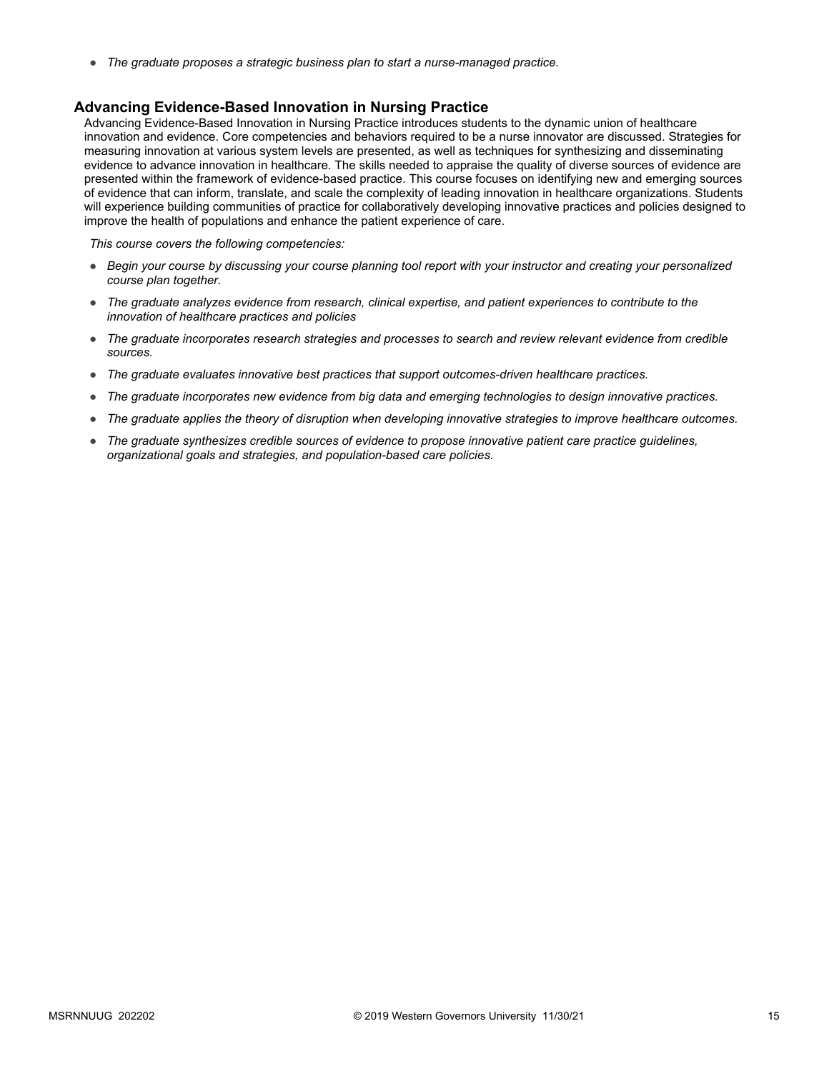● *The graduate proposes a strategic business plan to start a nurse-managed practice.*

### **Advancing Evidence-Based Innovation in Nursing Practice**

Advancing Evidence-Based Innovation in Nursing Practice introduces students to the dynamic union of healthcare innovation and evidence. Core competencies and behaviors required to be a nurse innovator are discussed. Strategies for measuring innovation at various system levels are presented, as well as techniques for synthesizing and disseminating evidence to advance innovation in healthcare. The skills needed to appraise the quality of diverse sources of evidence are presented within the framework of evidence-based practice. This course focuses on identifying new and emerging sources of evidence that can inform, translate, and scale the complexity of leading innovation in healthcare organizations. Students will experience building communities of practice for collaboratively developing innovative practices and policies designed to improve the health of populations and enhance the patient experience of care.

- *Begin your course by discussing your course planning tool report with your instructor and creating your personalized course plan together.*
- *The graduate analyzes evidence from research, clinical expertise, and patient experiences to contribute to the innovation of healthcare practices and policies*
- *The graduate incorporates research strategies and processes to search and review relevant evidence from credible sources.*
- *The graduate evaluates innovative best practices that support outcomes-driven healthcare practices.*
- *The graduate incorporates new evidence from big data and emerging technologies to design innovative practices.*
- *The graduate applies the theory of disruption when developing innovative strategies to improve healthcare outcomes.*
- *The graduate synthesizes credible sources of evidence to propose innovative patient care practice guidelines, organizational goals and strategies, and population-based care policies.*